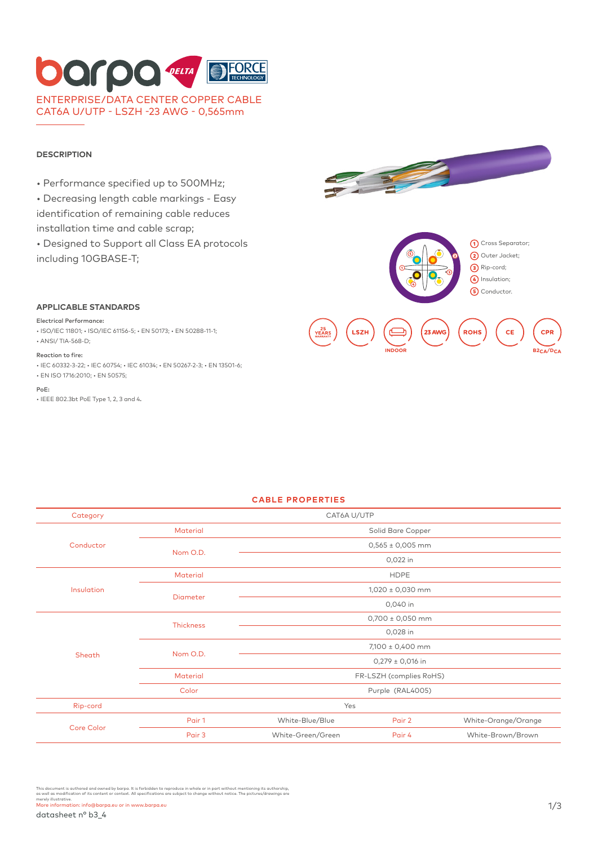## FORCE **Darpa** TELTA ENTERPRISE/DATA CENTER COPPER CABLE CAT6A U/UTP - LSZH -23 AWG - 0,565mm

#### **DESCRIPTION**

- Performance specified up to 500MHz;
- Decreasing length cable markings Easy
- identification of remaining cable reduces installation time and cable scrap;
- Designed to Support all Class EA protocols including 10GBASE-T;







#### **APPLICABLE STANDARDS**

#### Electrical Performance:

• ISO/IEC 11801; • ISO/IEC 61156-5; • EN 50173; • EN 50288-11-1; • ANSI/ TIA-568-D;

#### Reaction to fire:

• IEC 60332-3-22; • IEC 60754; • IEC 61034; • EN 50267-2-3; • EN 13501-6; • EN ISO 1716:2010; • EN 50575;

PoE:

• IEEE 802.3bt PoE Type 1, 2, 3 and 4.



#### **CABLE PROPERTIES**

| Category          | CAT6A U/UTP      |                         |        |                     |  |
|-------------------|------------------|-------------------------|--------|---------------------|--|
| Conductor         | <b>Material</b>  | Solid Bare Copper       |        |                     |  |
|                   | Nom O.D.         | $0,565 \pm 0,005$ mm    |        |                     |  |
|                   |                  | 0,022 in                |        |                     |  |
| Insulation        | <b>Material</b>  | <b>HDPE</b>             |        |                     |  |
|                   | <b>Diameter</b>  | $1,020 \pm 0,030$ mm    |        |                     |  |
|                   |                  | 0,040 in                |        |                     |  |
|                   | <b>Thickness</b> | $0,700 \pm 0,050$ mm    |        |                     |  |
|                   |                  | 0,028 in                |        |                     |  |
|                   | Nom O.D.         | 7,100 ± 0,400 mm        |        |                     |  |
| Sheath            |                  | $0,279 \pm 0,016$ in    |        |                     |  |
|                   | Material         | FR-LSZH (complies RoHS) |        |                     |  |
|                   | Color            | Purple (RAL4005)        |        |                     |  |
| Rip-cord          |                  | Yes                     |        |                     |  |
| <b>Core Color</b> | Pair 1           | White-Blue/Blue         | Pair 2 | White-Orange/Orange |  |
|                   | Pair 3           | White-Green/Green       | Pair 4 | White-Brown/Brown   |  |

This document is authored and owned by barpa. It is forbidden to reproduce in whole or in part without mentioning its authorship,<br>as well as modification of its content or context. All specifications are subject to change merely illustrative.<br>More information: info@barpa.eu or in www.barpa.eu 1/3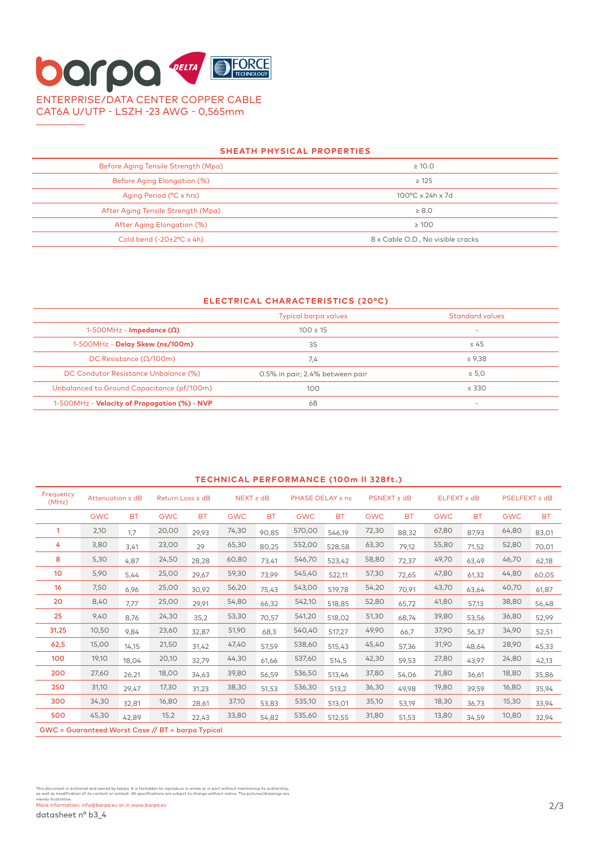# **DOLDO DELTA** DE FORCE ENTERPRISE/DATA CENTER COPPER CABLE CAT6A U/UTP - LSZH -23 AWG - 0,565mm

#### **SHEATH PHYSICAL PROPERTIES**

| Before Aging Tensile Strength (Mpa)        | $\geq 10.0$                       |
|--------------------------------------------|-----------------------------------|
| Before Aging Elongation (%)                | $\geq 125$                        |
| Aging Period (°C x hrs)                    | $100^{\circ}$ C x 24h x 7d        |
| After Aging Tensile Strength (Mpg)         | $\geq 8.0$                        |
| After Aging Elongation (%)                 | $\geq 100$                        |
| Cold bend $(-20 \pm 2^{\circ}C \times 4h)$ | 8 x Cable O.D., No visible cracks |

#### **ELECTRICAL CHARACTERISTICS (20°C)**

|                                              | Typical barpa values            | Standard values          |  |
|----------------------------------------------|---------------------------------|--------------------------|--|
| 1-500MHz - Impedance $(\Omega)$              | $100 \pm 15$                    | $\overline{\phantom{a}}$ |  |
| 1-500MHz - Delay Skew (ns/100m)              | 35                              | $\leq 45$                |  |
| DC Resistance ( $\Omega/100$ m)              | 7,4                             | $\leq 9.38$              |  |
| DC Condutor Resistance Unbalance (%)         | 0.5% in pair; 2.4% between pair | $\leq 5.0$               |  |
| Unbalanced to Ground Capacitance (pf/100m)   | 100                             | $\leq$ 330               |  |
| 1-500MHz - Velocity of Propagation (%) - NVP | 68                              |                          |  |

### **TECHNICAL PERFORMANCE (100m ll 328ft.)** Frequency<br>(MHz) (MHz) Attenuation ≤ dB Return Loss ≥ dB NEXT ≥ dB PHASE DELAY ≤ ns PSNEXT ≥ dB ELFEXT ≥ dB PSELFEXT ≥ dB GWC BT GWC BT GWC BT GWC BT GWC BT GWC BT GWC BT 1 2,10 1,7 20,00 29,93 74,30 90,85 570,00 546,19 72,30 88,32 67,80 87,93 64,80 83,01 4 3,80 3,41 23,00 29 65,30 80,25 552,00 528,58 63,30 79,12 55,80 71,52 52,80 70,01 8 5,30 4,87 24,50 28,28 60,80 73,41 546,70 523,42 58,80 72,37 49,70 63,49 46,70 62,18 10 5,90 5,44 25,00 29,67 59,30 73,99 545,40 522,11 57,30 72,65 47,80 61,32 44,80 60,05 16 7,50 6,96 25,00 30,92 56,20 75,43 543,00 519,78 54,20 70,91 43,70 63,64 40,70 61,87 20 8,40 7,77 25,00 29,91 54,80 66,32 542,10 518,85 52,80 65,72 41,80 57,13 38,80 56,48 25 9,40 8,76 24,30 35,2 53,30 70,57 541,20 518,02 51,30 68,74 39,80 53,56 36,80 52,99 31,25 10,50 9,84 23,60 32,87 51,90 68,3 540,40 517,27 49,90 66,7 37,90 56,37 34,90 52,51 62,5 15,00 14,15 21,50 31,42 47,40 57,59 538,60 515,43 45,40 57,36 31,90 48,64 28,90 45,33 100 19,10 18,04 20,10 32,79 44,30 61,66 537,60 514,5 42,30 59,53 27,80 43,97 24,80 42,13 200 27,60 26,21 18,00 34,63 39,80 56,59 536,50 513,46 37,80 54,06 21,80 36,61 18,80 35,86 250 31,10 29,47 17,30 31,23 38,30 51,53 536,30 513,2 36,30 49,98 19,80 39,59 16,80 35,94 300 34,30 32,81 16,80 28,61 37,10 53,83 535,10 513,01 35,10 53,19 18,30 36,73 15,30 33,94 500 45,30 42,89 15,2 22,43 33,80 54,82 535,60 512,55 31,80 51,53 13,80 34,59 10,80 32,94 GWC = Guaranteed Worst Case // BT = barpa Typical

This document is authored and owned by barpa. It is forbidden to reproduce in whole or in part without mentioning its authorship,<br>as well as modification of its content or context. All specifications are subject to change merely illustrative.<br>More information: info@barpa.eu or in www.barpa.eu 2/3